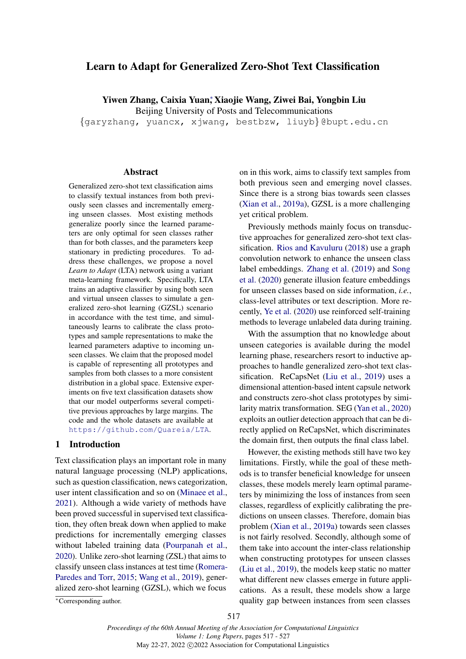# <span id="page-0-0"></span>Learn to Adapt for Generalized Zero-Shot Text Classification

Yiwen Zhang, Caixia Yua[n](#page-0-0)<sup>∗</sup> , Xiaojie Wang, Ziwei Bai, Yongbin Liu

Beijing University of Posts and Telecommunications

{garyzhang, yuancx, xjwang, bestbzw, liuyb} @bupt.edu.cn

#### **Abstract**

Generalized zero-shot text classification aims to classify textual instances from both previously seen classes and incrementally emerging unseen classes. Most existing methods generalize poorly since the learned parameters are only optimal for seen classes rather than for both classes, and the parameters keep stationary in predicting procedures. To address these challenges, we propose a novel *Learn to Adapt* (LTA) network using a variant meta-learning framework. Specifically, LTA trains an adaptive classifier by using both seen and virtual unseen classes to simulate a generalized zero-shot learning (GZSL) scenario in accordance with the test time, and simultaneously learns to calibrate the class prototypes and sample representations to make the learned parameters adaptive to incoming unseen classes. We claim that the proposed model is capable of representing all prototypes and samples from both classes to a more consistent distribution in a global space. Extensive experiments on five text classification datasets show that our model outperforms several competitive previous approaches by large margins. The code and the whole datasets are available at <https://github.com/Quareia/LTA>.

# 1 Introduction

Text classification plays an important role in many natural language processing (NLP) applications, such as question classification, news categorization, user intent classification and so on [\(Minaee et al.,](#page-9-0) [2021\)](#page-9-0). Although a wide variety of methods have been proved successful in supervised text classification, they often break down when applied to make predictions for incrementally emerging classes without labeled training data [\(Pourpanah et al.,](#page-9-1) [2020\)](#page-9-1). Unlike zero-shot learning (ZSL) that aims to classify unseen class instances at test time [\(Romera-](#page-9-2)[Paredes and Torr,](#page-9-2) [2015;](#page-9-2) [Wang et al.,](#page-10-0) [2019\)](#page-10-0), generalized zero-shot learning (GZSL), which we focus

on in this work, aims to classify text samples from both previous seen and emerging novel classes. Since there is a strong bias towards seen classes [\(Xian et al.,](#page-10-1) [2019a\)](#page-10-1), GZSL is a more challenging yet critical problem.

Previously methods mainly focus on transductive approaches for generalized zero-shot text classification. [Rios and Kavuluru](#page-9-3) [\(2018\)](#page-9-3) use a graph convolution network to enhance the unseen class label embeddings. [Zhang et al.](#page-10-2) [\(2019\)](#page-10-2) and [Song](#page-9-4) [et al.](#page-9-4) [\(2020\)](#page-9-4) generate illusion feature embeddings for unseen classes based on side information, *i.e.*, class-level attributes or text description. More recently, [Ye et al.](#page-10-3) [\(2020\)](#page-10-3) use reinforced self-training methods to leverage unlabeled data during training.

With the assumption that no knowledge about unseen categories is available during the model learning phase, researchers resort to inductive approaches to handle generalized zero-shot text classification. ReCapsNet [\(Liu et al.,](#page-9-5) [2019\)](#page-9-5) uses a dimensional attention-based intent capsule network and constructs zero-shot class prototypes by similarity matrix transformation. SEG [\(Yan et al.,](#page-10-4) [2020\)](#page-10-4) exploits an outlier detection approach that can be directly applied on ReCapsNet, which discriminates the domain first, then outputs the final class label.

However, the existing methods still have two key limitations. Firstly, while the goal of these methods is to transfer beneficial knowledge for unseen classes, these models merely learn optimal parameters by minimizing the loss of instances from seen classes, regardless of explicitly calibrating the predictions on unseen classes. Therefore, domain bias problem [\(Xian et al.,](#page-10-1) [2019a\)](#page-10-1) towards seen classes is not fairly resolved. Secondly, although some of them take into account the inter-class relationship when constructing prototypes for unseen classes [\(Liu et al.,](#page-9-5) [2019\)](#page-9-5), the models keep static no matter what different new classes emerge in future applications. As a result, these models show a large quality gap between instances from seen classes

<sup>∗</sup>Corresponding author.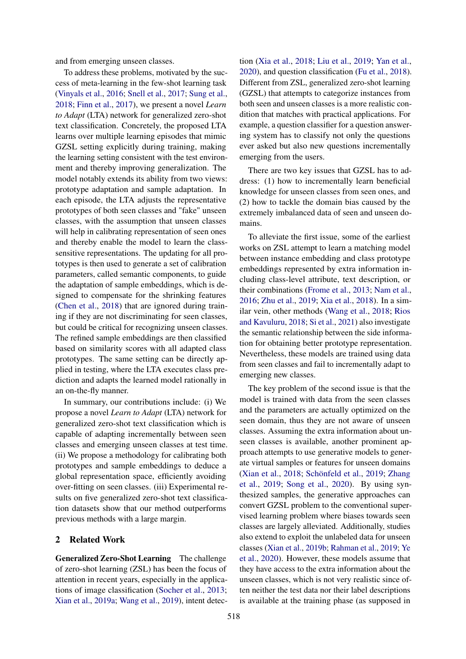and from emerging unseen classes.

To address these problems, motivated by the success of meta-learning in the few-shot learning task [\(Vinyals et al.,](#page-10-5) [2016;](#page-10-5) [Snell et al.,](#page-9-6) [2017;](#page-9-6) [Sung et al.,](#page-10-6) [2018;](#page-10-6) [Finn et al.,](#page-8-0) [2017\)](#page-8-0), we present a novel *Learn to Adapt* (LTA) network for generalized zero-shot text classification. Concretely, the proposed LTA learns over multiple learning episodes that mimic GZSL setting explicitly during training, making the learning setting consistent with the test environment and thereby improving generalization. The model notably extends its ability from two views: prototype adaptation and sample adaptation. In each episode, the LTA adjusts the representative prototypes of both seen classes and "fake" unseen classes, with the assumption that unseen classes will help in calibrating representation of seen ones and thereby enable the model to learn the classsensitive representations. The updating for all prototypes is then used to generate a set of calibration parameters, called semantic components, to guide the adaptation of sample embeddings, which is designed to compensate for the shrinking features [\(Chen et al.,](#page-8-1) [2018\)](#page-8-1) that are ignored during training if they are not discriminating for seen classes, but could be critical for recognizing unseen classes. The refined sample embeddings are then classified based on similarity scores with all adapted class prototypes. The same setting can be directly applied in testing, where the LTA executes class prediction and adapts the learned model rationally in an on-the-fly manner.

In summary, our contributions include: (i) We propose a novel *Learn to Adapt* (LTA) network for generalized zero-shot text classification which is capable of adapting incrementally between seen classes and emerging unseen classes at test time. (ii) We propose a methodology for calibrating both prototypes and sample embeddings to deduce a global representation space, efficiently avoiding over-fitting on seen classes. (iii) Experimental results on five generalized zero-shot text classification datasets show that our method outperforms previous methods with a large margin.

### 2 Related Work

Generalized Zero-Shot Learning The challenge of zero-shot learning (ZSL) has been the focus of attention in recent years, especially in the applications of image classification [\(Socher et al.,](#page-9-7) [2013;](#page-9-7) [Xian et al.,](#page-10-1) [2019a;](#page-10-1) [Wang et al.,](#page-10-0) [2019\)](#page-10-0), intent detection [\(Xia et al.,](#page-10-7) [2018;](#page-10-7) [Liu et al.,](#page-9-5) [2019;](#page-9-5) [Yan et al.,](#page-10-4) [2020\)](#page-10-4), and question classification [\(Fu et al.,](#page-8-2) [2018\)](#page-8-2). Different from ZSL, generalized zero-shot learning (GZSL) that attempts to categorize instances from both seen and unseen classes is a more realistic condition that matches with practical applications. For example, a question classifier for a question answering system has to classify not only the questions ever asked but also new questions incrementally emerging from the users.

There are two key issues that GZSL has to address: (1) how to incrementally learn beneficial knowledge for unseen classes from seen ones, and (2) how to tackle the domain bias caused by the extremely imbalanced data of seen and unseen domains.

To alleviate the first issue, some of the earliest works on ZSL attempt to learn a matching model between instance embedding and class prototype embeddings represented by extra information including class-level attribute, text description, or their combinations [\(Frome et al.,](#page-8-3) [2013;](#page-8-3) [Nam et al.,](#page-9-8) [2016;](#page-9-8) [Zhu et al.,](#page-10-8) [2019;](#page-10-8) [Xia et al.,](#page-10-7) [2018\)](#page-10-7). In a similar vein, other methods [\(Wang et al.,](#page-10-9) [2018;](#page-10-9) [Rios](#page-9-3) [and Kavuluru,](#page-9-3) [2018;](#page-9-3) [Si et al.,](#page-9-9) [2021\)](#page-9-9) also investigate the semantic relationship between the side information for obtaining better prototype representation. Nevertheless, these models are trained using data from seen classes and fail to incrementally adapt to emerging new classes.

The key problem of the second issue is that the model is trained with data from the seen classes and the parameters are actually optimized on the seen domain, thus they are not aware of unseen classes. Assuming the extra information about unseen classes is available, another prominent approach attempts to use generative models to generate virtual samples or features for unseen domains [\(Xian et al.,](#page-10-10) [2018;](#page-10-10) [Schönfeld et al.,](#page-9-10) [2019;](#page-9-10) [Zhang](#page-10-2) [et al.,](#page-10-2) [2019;](#page-10-2) [Song et al.,](#page-9-4) [2020\)](#page-9-4). By using synthesized samples, the generative approaches can convert GZSL problem to the conventional supervised learning problem where biases towards seen classes are largely alleviated. Additionally, studies also extend to exploit the unlabeled data for unseen classes [\(Xian et al.,](#page-10-11) [2019b;](#page-10-11) [Rahman et al.,](#page-9-11) [2019;](#page-9-11) [Ye](#page-10-3) [et al.,](#page-10-3) [2020\)](#page-10-3). However, these models assume that they have access to the extra information about the unseen classes, which is not very realistic since often neither the test data nor their label descriptions is available at the training phase (as supposed in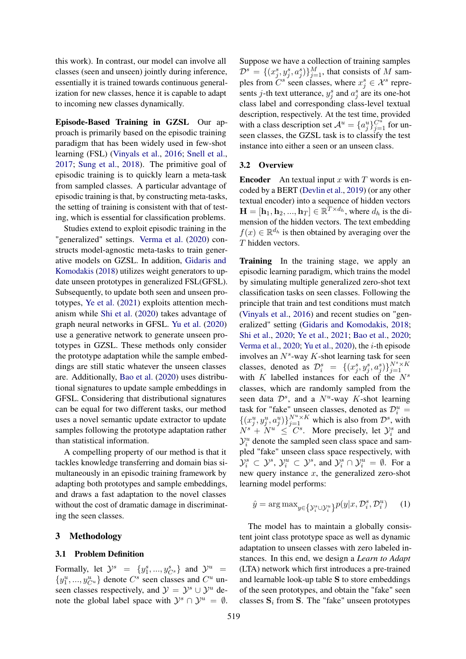this work). In contrast, our model can involve all classes (seen and unseen) jointly during inference, essentially it is trained towards continuous generalization for new classes, hence it is capable to adapt to incoming new classes dynamically.

Episode-Based Training in GZSL Our approach is primarily based on the episodic training paradigm that has been widely used in few-shot learning (FSL) [\(Vinyals et al.,](#page-10-5) [2016;](#page-10-5) [Snell et al.,](#page-9-6) [2017;](#page-9-6) [Sung et al.,](#page-10-6) [2018\)](#page-10-6). The primitive goal of episodic training is to quickly learn a meta-task from sampled classes. A particular advantage of episodic training is that, by constructing meta-tasks, the setting of training is consistent with that of testing, which is essential for classification problems.

Studies extend to exploit episodic training in the "generalized" settings. [Verma et al.](#page-10-12) [\(2020\)](#page-10-12) constructs model-agnostic meta-tasks to train generative models on GZSL. In addition, [Gidaris and](#page-8-4) [Komodakis](#page-8-4) [\(2018\)](#page-8-4) utilizes weight generators to update unseen prototypes in generalized FSL(GFSL). Subsequently, to update both seen and unseen prototypes, [Ye et al.](#page-10-13) [\(2021\)](#page-10-13) exploits attention mechanism while [Shi et al.](#page-9-12) [\(2020\)](#page-9-12) takes advantage of graph neural networks in GFSL. [Yu et al.](#page-10-14) [\(2020\)](#page-10-14) use a generative network to generate unseen prototypes in GZSL. These methods only consider the prototype adaptation while the sample embeddings are still static whatever the unseen classes are. Additionally, [Bao et al.](#page-8-5) [\(2020\)](#page-8-5) uses distributional signatures to update sample embeddings in GFSL. Considering that distributional signatures can be equal for two different tasks, our method uses a novel semantic update extractor to update samples following the prototype adaptation rather than statistical information.

A compelling property of our method is that it tackles knowledge transferring and domain bias simultaneously in an episodic training framework by adapting both prototypes and sample embeddings, and draws a fast adaptation to the novel classes without the cost of dramatic damage in discriminating the seen classes.

# 3 Methodology

# 3.1 Problem Definition

Formally, let  $\mathcal{Y}^s = \{y_1^s, ..., y_{C^s}^s\}$  and  $\mathcal{Y}^u =$  $\{y_1^u, ..., y_{C^u}^u\}$  denote  $C^s$  seen classes and  $C^u$  unseen classes respectively, and  $\mathcal{Y} = \mathcal{Y}^s \cup \mathcal{Y}^u$  denote the global label space with  $\mathcal{Y}^s \cap \mathcal{Y}^u = \emptyset$ . Suppose we have a collection of training samples  $\mathcal{D}^s = \{ (x_j^s, y_j^s, a_j^s) \}_{j=1}^M$ , that consists of M samples from  $C^s$  seen classes, where  $x_j^s \in \mathcal{X}^s$  represents *j*-th text utterance,  $y_j^s$  and  $a_j^s$  are its one-hot class label and corresponding class-level textual description, respectively. At the test time, provided with a class description set  $\mathcal{A}^u = \{a_j^u\}_{j=1}^{C^u}$  for unseen classes, the GZSL task is to classify the test instance into either a seen or an unseen class.

#### 3.2 Overview

**Encoder** An textual input x with T words is encoded by a BERT [\(Devlin et al.,](#page-8-6) [2019\)](#page-8-6) (or any other textual encoder) into a sequence of hidden vectors  $\mathbf{H} = [\mathbf{h}_1, \mathbf{h}_2, ..., \mathbf{h}_T] \in \mathbb{R}^{T \times d_h}$ , where  $d_h$  is the dimension of the hidden vectors. The text embedding  $f(x) \in \mathbb{R}^{d_h}$  is then obtained by averaging over the T hidden vectors.

Training In the training stage, we apply an episodic learning paradigm, which trains the model by simulating multiple generalized zero-shot text classification tasks on seen classes. Following the principle that train and test conditions must match [\(Vinyals et al.,](#page-10-5) [2016\)](#page-10-5) and recent studies on "generalized" setting [\(Gidaris and Komodakis,](#page-8-4) [2018;](#page-8-4) [Shi et al.,](#page-9-12) [2020;](#page-9-12) [Ye et al.,](#page-10-13) [2021;](#page-10-13) [Bao et al.,](#page-8-5) [2020;](#page-8-5) [Verma et al.,](#page-10-12)  $2020$ ; [Yu et al.,](#page-10-14)  $2020$ ), the *i*-th episode involves an  $N<sup>s</sup>$ -way K-shot learning task for seen classes, denoted as  $\mathcal{D}_i^s = \{ (x_j^s, y_j^s, a_j^s) \}_{j=1}^{N^s \times K}$ with  $K$  labelled instances for each of the  $N<sup>s</sup>$ classes, which are randomly sampled from the seen data  $\mathcal{D}^s$ , and a  $N^u$ -way K-shot learning task for "fake" unseen classes, denoted as  $\mathcal{D}_i^u$  =  $\{(x_j^u, y_j^u, a_j^u)\}_{j=1}^{N^u \times K}$  which is also from  $\mathcal{D}^s$ , with  $N^s + N^u \leq C^s$ . More precisely, let  $\mathcal{Y}_i^s$  and  $\mathcal{Y}_i^u$  denote the sampled seen class space and sampled "fake" unseen class space respectively, with  $\mathcal{Y}_{i}^{s} \subset \mathcal{Y}^{s}, \mathcal{Y}_{i}^{u} \subset \mathcal{Y}^{s}$ , and  $\mathcal{Y}_{i}^{s} \cap \mathcal{Y}_{i}^{u} = \emptyset$ . For a new query instance  $x$ , the generalized zero-shot learning model performs:

$$
\hat{y} = \arg \max_{y \in \{ \mathcal{Y}_i^s \cup \mathcal{Y}_i^u \}} p(y|x, \mathcal{D}_i^s, \mathcal{D}_i^u) \tag{1}
$$

The model has to maintain a globally consistent joint class prototype space as well as dynamic adaptation to unseen classes with zero labeled instances. In this end, we design a *Learn to Adapt* (LTA) network which first introduces a pre-trained and learnable look-up table S to store embeddings of the seen prototypes, and obtain the "fake" seen classes  $S_i$  from S. The "fake" unseen prototypes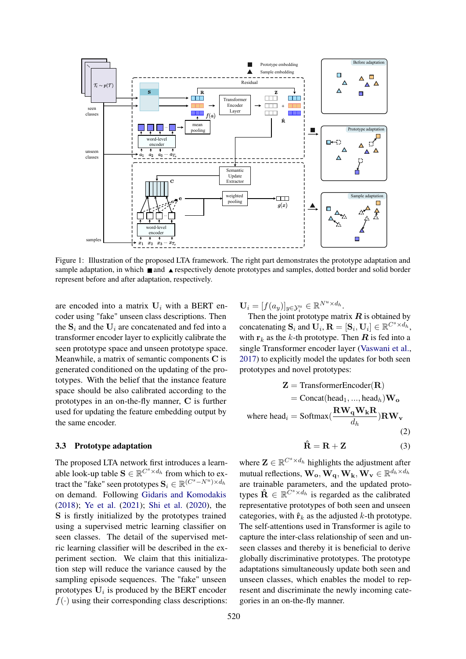

Figure 1: Illustration of the proposed LTA framework. The right part demonstrates the prototype adaptation and sample adaptation, in which  $\blacksquare$  and  $\blacktriangle$  respectively denote prototypes and samples, dotted border and solid border represent before and after adaptation, respectively.

are encoded into a matrix  $U_i$  with a BERT encoder using "fake" unseen class descriptions. Then the  $S_i$  and the  $U_i$  are concatenated and fed into a transformer encoder layer to explicitly calibrate the seen prototype space and unseen prototype space. Meanwhile, a matrix of semantic components C is generated conditioned on the updating of the prototypes. With the belief that the instance feature space should be also calibrated according to the prototypes in an on-the-fly manner, C is further used for updating the feature embedding output by the same encoder.

# 3.3 Prototype adaptation

The proposed LTA network first introduces a learnable look-up table  $\mathbf{S} \in \mathbb{R}^{C^s \times d_h}$  from which to extract the "fake" seen prototypes  $\mathbf{S}_i \in \mathbb{R}^{(C^s - N^u) \times d_h}$ on demand. Following [Gidaris and Komodakis](#page-8-4) [\(2018\)](#page-8-4); [Ye et al.](#page-10-13) [\(2021\)](#page-10-13); [Shi et al.](#page-9-12) [\(2020\)](#page-9-12), the S is firstly initialized by the prototypes trained using a supervised metric learning classifier on seen classes. The detail of the supervised metric learning classifier will be described in the experiment section. We claim that this initialization step will reduce the variance caused by the sampling episode sequences. The "fake" unseen prototypes  $U_i$  is produced by the BERT encoder  $f(\cdot)$  using their corresponding class descriptions:  $\mathbf{U}_i = [f(a_y)]_{y \in \mathcal{Y}_i^u} \in \mathbb{R}^{N^u \times d_h}.$ 

Then the joint prototype matrix **R** is obtained by concatenating  $S_i$  and  $\mathbf{U}_i$ ,  $\mathbf{R} = [\mathbf{S}_i, \mathbf{U}_i] \in \mathbb{R}^{C^s \times d_h}$ , with  $r_k$  as the k-th prototype. Then **R** is fed into a single Transformer encoder layer [\(Vaswani et al.,](#page-10-15) [2017\)](#page-10-15) to explicitly model the updates for both seen prototypes and novel prototypes:

$$
\mathbf{Z} = \text{TransformerEncoder}(\mathbf{R})
$$
  
= Concat(head<sub>1</sub>, ..., head<sub>h</sub>) $\mathbf{W_o}$   
where head<sub>i</sub> = Softmax( $\frac{\mathbf{R}\mathbf{W_q}\mathbf{W_k}\mathbf{R}}{d_h}$ ) $\mathbf{R}\mathbf{W_v}$  (2)

<span id="page-3-1"></span><span id="page-3-0"></span>
$$
\hat{\mathbf{R}} = \mathbf{R} + \mathbf{Z} \tag{3}
$$

where  $\mathbf{Z} \in \mathbb{R}^{C^s \times d_h}$  highlights the adjustment after mutual reflections,  $\mathbf{W_o}, \mathbf{W_q}, \mathbf{W_k}, \mathbf{W_v} \in \mathbb{R}^{d_h \times d_h}$ are trainable parameters, and the updated prototypes  $\hat{\mathbf{R}} \in \mathbb{R}^{\overline{C}^s \times d_h}$  is regarded as the calibrated representative prototypes of both seen and unseen categories, with  $\hat{\mathbf{r}}_k$  as the adjusted k-th prototype. The self-attentions used in Transformer is agile to capture the inter-class relationship of seen and unseen classes and thereby it is beneficial to derive globally discriminative prototypes. The prototype adaptations simultaneously update both seen and unseen classes, which enables the model to represent and discriminate the newly incoming categories in an on-the-fly manner.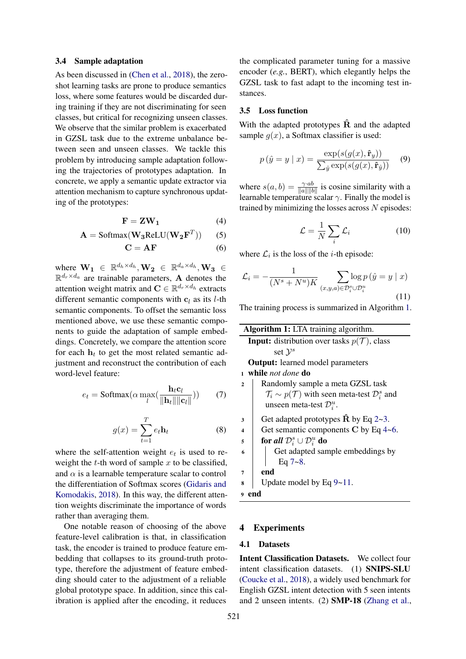#### 3.4 Sample adaptation

As been discussed in [\(Chen et al.,](#page-8-1) [2018\)](#page-8-1), the zeroshot learning tasks are prone to produce semantics loss, where some features would be discarded during training if they are not discriminating for seen classes, but critical for recognizing unseen classes. We observe that the similar problem is exacerbated in GZSL task due to the extreme unbalance between seen and unseen classes. We tackle this problem by introducing sample adaptation following the trajectories of prototypes adaptation. In concrete, we apply a semantic update extractor via attention mechanism to capture synchronous updating of the prototypes:

$$
\mathbf{F} = \mathbf{Z}\mathbf{W}_1 \tag{4}
$$

$$
\mathbf{A} = \text{Softmax}(\mathbf{W}_3 \text{ReLU}(\mathbf{W}_2 \mathbf{F}^T))
$$
 (5)

$$
\mathbf{C} = \mathbf{A}\mathbf{F} \tag{6}
$$

where  $\mathbf{W_1} \in \mathbb{R}^{d_h \times d_h}, \mathbf{W_2} \in \mathbb{R}^{d_a \times d_h}, \mathbf{W_3} \in$  $\mathbb{R}^{d_r \times d_a}$  are trainable parameters, **A** denotes the attention weight matrix and  $\mathbf{C} \in \mathbb{R}^{d_r \times d_h}$  extracts different semantic components with  $c_l$  as its *l*-th semantic components. To offset the semantic loss mentioned above, we use these semantic components to guide the adaptation of sample embeddings. Concretely, we compare the attention score for each  $h_t$  to get the most related semantic adjustment and reconstruct the contribution of each word-level feature:

<span id="page-4-4"></span><span id="page-4-3"></span>
$$
e_t = \text{Softmax}(\alpha \max_{l}(\frac{\mathbf{h}_t c_l}{\|\mathbf{h}_t\| \|\mathbf{c}_l\|})) \qquad (7)
$$

$$
g(x) = \sum_{t=1}^{T} e_t \mathbf{h}_t
$$
 (8)

where the self-attention weight  $e_t$  is used to reweight the  $t$ -th word of sample  $x$  to be classified, and  $\alpha$  is a learnable temperature scalar to control the differentiation of Softmax scores [\(Gidaris and](#page-8-4) [Komodakis,](#page-8-4) [2018\)](#page-8-4). In this way, the different attention weights discriminate the importance of words rather than averaging them.

One notable reason of choosing of the above feature-level calibration is that, in classification task, the encoder is trained to produce feature embedding that collapses to its ground-truth prototype, therefore the adjustment of feature embedding should cater to the adjustment of a reliable global prototype space. In addition, since this calibration is applied after the encoding, it reduces

the complicated parameter tuning for a massive encoder (*e.g.*, BERT), which elegantly helps the GZSL task to fast adapt to the incoming test instances.

#### 3.5 Loss function

With the adapted prototypes  $\hat{\mathbf{R}}$  and the adapted sample  $q(x)$ , a Softmax classifier is used:

$$
p(\hat{y} = y | x) = \frac{\exp(s(g(x), \hat{\mathbf{r}}_y))}{\sum_{\hat{y}} \exp(s(g(x), \hat{\mathbf{r}}_{\hat{y}}))}
$$
(9)

<span id="page-4-1"></span>where  $s(a, b) = \frac{\gamma \cdot ab}{\|a\| \|b\|}$  is cosine similarity with a learnable temperature scalar  $\gamma$ . Finally the model is trained by minimizing the losses across  $N$  episodes:

<span id="page-4-6"></span><span id="page-4-5"></span>
$$
\mathcal{L} = \frac{1}{N} \sum_{i} \mathcal{L}_i \tag{10}
$$

<span id="page-4-2"></span>where  $\mathcal{L}_i$  is the loss of the *i*-th episode:

$$
\mathcal{L}_i = -\frac{1}{(N^s + N^u)K} \sum_{(x,y,a) \in \mathcal{D}_i^s \cup \mathcal{D}_i^u} \log p\left(\hat{y} = y \mid x\right) \tag{11}
$$

The training process is summarized in Algorithm [1.](#page-4-0)

<span id="page-4-0"></span>

|                                                                | Algorithm 1: LTA training algorithm.                                          |  |  |  |  |  |  |
|----------------------------------------------------------------|-------------------------------------------------------------------------------|--|--|--|--|--|--|
| <b>Input:</b> distribution over tasks $p(\mathcal{T})$ , class |                                                                               |  |  |  |  |  |  |
|                                                                | set $\mathcal{V}^s$                                                           |  |  |  |  |  |  |
|                                                                | <b>Output:</b> learned model parameters                                       |  |  |  |  |  |  |
|                                                                | 1 while not done do                                                           |  |  |  |  |  |  |
| $\overline{2}$                                                 | Randomly sample a meta GZSL task                                              |  |  |  |  |  |  |
|                                                                | $\mathcal{T}_i \sim p(\mathcal{T})$ with seen meta-test $\mathcal{D}_i^s$ and |  |  |  |  |  |  |
|                                                                | unseen meta-test $\mathcal{D}_{i}^{u}$ .                                      |  |  |  |  |  |  |
| 3                                                              | Get adapted prototypes $\hat{\mathbf{R}}$ by Eq 2~3.                          |  |  |  |  |  |  |
| $\overline{\mathbf{4}}$                                        | Get semantic components $C$ by Eq 4~6.                                        |  |  |  |  |  |  |
| 5                                                              | for all $\mathcal{D}_{i}^{s} \cup \mathcal{D}_{i}^{u}$ do                     |  |  |  |  |  |  |
| 6                                                              | Get adapted sample embeddings by                                              |  |  |  |  |  |  |
|                                                                | Eq $7 - 8$ .                                                                  |  |  |  |  |  |  |
| 7                                                              | end                                                                           |  |  |  |  |  |  |
| 8                                                              | Update model by Eq $9 \sim 11$ .                                              |  |  |  |  |  |  |
| end<br>9                                                       |                                                                               |  |  |  |  |  |  |

# 4 Experiments

### 4.1 Datasets

Intent Classification Datasets. We collect four intent classification datasets. (1) SNIPS-SLU [\(Coucke et al.,](#page-8-7) [2018\)](#page-8-7), a widely used benchmark for English GZSL intent detection with 5 seen intents and 2 unseen intents. (2) SMP-18 [\(Zhang et al.,](#page-10-16)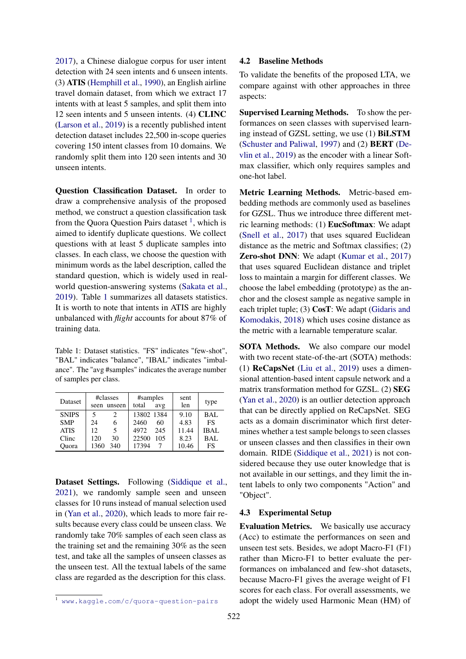[2017\)](#page-10-16), a Chinese dialogue corpus for user intent detection with 24 seen intents and 6 unseen intents. (3) ATIS [\(Hemphill et al.,](#page-8-8) [1990\)](#page-8-8), an English airline travel domain dataset, from which we extract 17 intents with at least 5 samples, and split them into 12 seen intents and 5 unseen intents. (4) CLINC [\(Larson et al.,](#page-9-13) [2019\)](#page-9-13) is a recently published intent detection dataset includes 22,500 in-scope queries covering 150 intent classes from 10 domains. We randomly split them into 120 seen intents and 30 unseen intents.

Question Classification Dataset. In order to draw a comprehensive analysis of the proposed method, we construct a question classification task from the Quora Question Pairs dataset <sup>[1](#page-0-0)</sup>, which is aimed to identify duplicate questions. We collect questions with at least 5 duplicate samples into classes. In each class, we choose the question with minimum words as the label description, called the standard question, which is widely used in realworld question-answering systems [\(Sakata et al.,](#page-9-14) [2019\)](#page-9-14). Table [1](#page-5-0) summarizes all datasets statistics. It is worth to note that intents in ATIS are highly unbalanced with *flight* accounts for about 87% of training data.

<span id="page-5-0"></span>Table 1: Dataset statistics. "FS" indicates "few-shot", "BAL" indicates "balance", "IBAL" indicates "imbalance". The "avg #samples" indicates the average number of samples per class.

| <b>Dataset</b> | #classes<br>unseen<br>seen | #samples<br>total<br>avg | sent<br>len | type        |
|----------------|----------------------------|--------------------------|-------------|-------------|
| <b>SNIPS</b>   | 2                          | 13802 1384               | 9.10        | BAL         |
| <b>SMP</b>     | 6<br>24                    | 2460<br>60               | 4.83        | <b>FS</b>   |
| <b>ATIS</b>    | 5<br>12                    | 245<br>4972              | 11.44       | <b>IBAL</b> |
| Clinc          | 30<br>120                  | 22500<br>105             | 8.23        | BAL         |
| Ouora          | 340<br>1360                | 17394                    | 10.46       | FS          |

Dataset Settings. Following [\(Siddique et al.,](#page-9-15) [2021\)](#page-9-15), we randomly sample seen and unseen classes for 10 runs instead of manual selection used in [\(Yan et al.,](#page-10-4) [2020\)](#page-10-4), which leads to more fair results because every class could be unseen class. We randomly take 70% samples of each seen class as the training set and the remaining 30% as the seen test, and take all the samples of unseen classes as the unseen test. All the textual labels of the same class are regarded as the description for this class.

To validate the benefits of the proposed LTA, we compare against with other approaches in three aspects:

Supervised Learning Methods. To show the performances on seen classes with supervised learning instead of GZSL setting, we use (1) BiLSTM [\(Schuster and Paliwal,](#page-9-16) [1997\)](#page-9-16) and (2) BERT [\(De](#page-8-6)[vlin et al.,](#page-8-6) [2019\)](#page-8-6) as the encoder with a linear Softmax classifier, which only requires samples and one-hot label.

Metric Learning Methods. Metric-based embedding methods are commonly used as baselines for GZSL. Thus we introduce three different metric learning methods: (1) EucSoftmax: We adapt [\(Snell et al.,](#page-9-6) [2017\)](#page-9-6) that uses squared Euclidean distance as the metric and Softmax classifies; (2) Zero-shot DNN: We adapt [\(Kumar et al.,](#page-9-17) [2017\)](#page-9-17) that uses squared Euclidean distance and triplet loss to maintain a margin for different classes. We choose the label embedding (prototype) as the anchor and the closest sample as negative sample in each triplet tuple; (3) CosT: We adapt [\(Gidaris and](#page-8-4) [Komodakis,](#page-8-4) [2018\)](#page-8-4) which uses cosine distance as the metric with a learnable temperature scalar.

SOTA Methods. We also compare our model with two recent state-of-the-art (SOTA) methods: (1) ReCapsNet [\(Liu et al.,](#page-9-5) [2019\)](#page-9-5) uses a dimensional attention-based intent capsule network and a matrix transformation method for GZSL. (2) SEG [\(Yan et al.,](#page-10-4) [2020\)](#page-10-4) is an outlier detection approach that can be directly applied on ReCapsNet. SEG acts as a domain discriminator which first determines whether a test sample belongs to seen classes or unseen classes and then classifies in their own domain. RIDE [\(Siddique et al.,](#page-9-15) [2021\)](#page-9-15) is not considered because they use outer knowledge that is not available in our settings, and they limit the intent labels to only two components "Action" and "Object".

### 4.3 Experimental Setup

Evaluation Metrics. We basically use accuracy (Acc) to estimate the performances on seen and unseen test sets. Besides, we adopt Macro-F1 (F1) rather than Micro-F1 to better evaluate the performances on imbalanced and few-shot datasets, because Macro-F1 gives the average weight of F1 scores for each class. For overall assessments, we adopt the widely used Harmonic Mean (HM) of

<sup>1</sup> <www.kaggle.com/c/quora-question-pairs>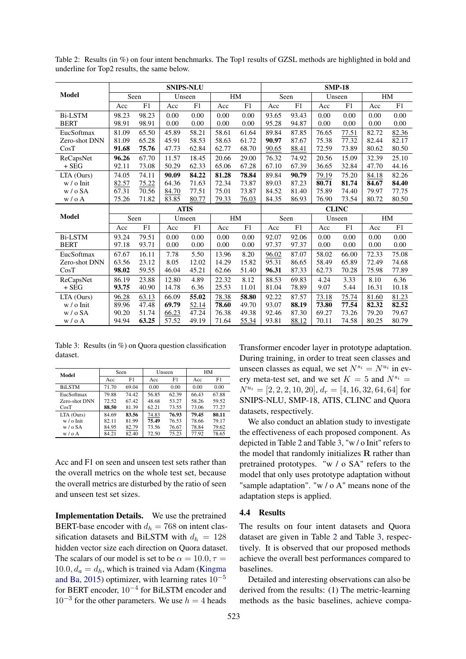|                | <b>SNIPS-NLU</b> |            |        |            |       | <b>SMP-18</b> |       |       |        |       |       |       |
|----------------|------------------|------------|--------|------------|-------|---------------|-------|-------|--------|-------|-------|-------|
| <b>Model</b>   | Seen             |            | Unseen |            | HM    |               | Seen  |       | Unseen |       | HM    |       |
|                | Acc              | ${\rm F}1$ | Acc    | ${\rm F}1$ | Acc   | F1            | Acc   | F1    | Acc    | F1    | Acc   | F1    |
| <b>Bi-LSTM</b> | 98.23            | 98.23      | 0.00   | 0.00       | 0.00  | 0.00          | 93.65 | 93.43 | 0.00   | 0.00  | 0.00  | 0.00  |
| <b>BERT</b>    | 98.91            | 98.91      | 0.00   | 0.00       | 0.00  | 0.00          | 95.28 | 94.87 | 0.00   | 0.00  | 0.00  | 0.00  |
| EucSoftmax     | 81.09            | 65.50      | 45.89  | 58.21      | 58.61 | 61.64         | 89.84 | 87.85 | 76.65  | 77.51 | 82.72 | 82.36 |
| Zero-shot DNN  | 81.09            | 65.28      | 45.91  | 58.53      | 58.63 | 61.72         | 90.97 | 87.67 | 75.38  | 77.32 | 82.44 | 82.17 |
| CosT           | 91.68            | 75.76      | 47.73  | 62.84      | 62.77 | 68.70         | 90.65 | 88.41 | 72.59  | 73.89 | 80.62 | 80.50 |
| ReCapsNet      | 96.26            | 67.70      | 11.57  | 18.45      | 20.66 | 29.00         | 76.32 | 74.92 | 20.56  | 15.09 | 32.39 | 25.10 |
| $+$ SEG        | 92.11            | 73.08      | 50.29  | 62.33      | 65.06 | 67.28         | 67.10 | 67.39 | 36.65  | 32.84 | 47.70 | 44.16 |
| LTA (Ours)     | 74.05            | 74.11      | 90.09  | 84.22      | 81.28 | 78.84         | 89.84 | 90.79 | 79.19  | 75.20 | 84.18 | 82.26 |
| w / o Init     | 82.57            | 75.22      | 64.36  | 71.63      | 72.34 | 73.87         | 89.03 | 87.23 | 80.71  | 81.74 | 84.67 | 84.40 |
| w/oSA          | 67.31            | 70.56      | 84.70  | 77.51      | 75.01 | 73.87         | 84.52 | 81.40 | 75.89  | 74.40 | 79.97 | 77.75 |
| w / o A        | 75.26            | 71.82      | 83.85  | 80.77      | 79.33 | 76.03         | 84.35 | 86.93 | 76.90  | 73.54 | 80.72 | 80.50 |
|                | <b>ATIS</b>      |            |        |            |       | <b>CLINC</b>  |       |       |        |       |       |       |
| <b>Model</b>   | Seen             |            | Unseen |            | HM    |               | Seen  |       | Unseen |       | HM    |       |
|                | Acc              | F1         | Acc    | F1         | Acc   | F1            | Acc   | F1    | Acc    | F1    | Acc   | F1    |
| <b>Bi-LSTM</b> | 93.24            | 79.51      | 0.00   | 0.00       | 0.00  | 0.00          | 92.07 | 92.06 | 0.00   | 0.00  | 0.00  | 0.00  |
| <b>BERT</b>    | 97.18            | 93.71      | 0.00   | 0.00       | 0.00  | 0.00          | 97.37 | 97.37 | 0.00   | 0.00  | 0.00  | 0.00  |
| EucSoftmax     | 67.67            | 16.11      | 7.78   | 5.50       | 13.96 | 8.20          | 96.02 | 87.07 | 58.02  | 66.00 | 72.33 | 75.08 |
| Zero-shot DNN  | 63.56            | 23.12      | 8.05   | 12.02      | 14.29 | 15.82         | 95.31 | 86.65 | 58.49  | 65.89 | 72.49 | 74.68 |
| CosT           | 98.02            | 59.55      | 46.04  | 45.21      | 62.66 | 51.40         | 96.31 | 87.33 | 62.73  | 70.28 | 75.98 | 77.89 |
| ReCapsNet      | 86.19            | 23.88      | 12.80  | 4.89       | 22.32 | 8.12          | 88.53 | 69.83 | 4.24   | 3.33  | 8.10  | 6.36  |
| $+$ SEG        | 93.75            | 40.90      | 14.78  | 6.36       | 25.53 | 11.01         | 81.04 | 78.89 | 9.07   | 5.44  | 16.31 | 10.18 |
| LTA (Ours)     | 96.28            | 63.13      | 66.09  | 55.02      | 78.38 | 58.80         | 92.22 | 87.57 | 73.18  | 75.74 | 81.60 | 81.23 |
| w / o Init     | 89.96            | 47.48      | 69.79  | 52.14      | 78.60 | 49.70         | 93.07 | 88.19 | 73.80  | 77.54 | 82.32 | 82.52 |
| w / o SA       | 90.20            | 51.74      | 66.23  | 47.24      | 76.38 | 49.38         | 92.46 | 87.30 | 69.27  | 73.26 | 79.20 | 79.67 |
| w / o A        | 94.94            | 63.25      | 57.52  | 49.19      | 71.64 | 55.34         | 93.81 | 88.12 | 70.11  | 74.58 | 80.25 | 80.79 |

<span id="page-6-0"></span>Table 2: Results (in %) on four intent benchmarks. The Top1 results of GZSL methods are highlighted in bold and underline for Top2 results, the same below.

<span id="page-6-1"></span>Table 3: Results (in %) on Quora question classification dataset.

| Model         |       | Seen  |       | Unseen | HM    |       |  |
|---------------|-------|-------|-------|--------|-------|-------|--|
|               | Acc   | F1    | Acc   | F1     | Acc   | F1    |  |
| <b>BiLSTM</b> | 71.70 | 69.04 | 0.00  | 0.00   | 0.00  | 0.00  |  |
| EucSoftmax    | 79.88 | 74.42 | 56.85 | 62.39  | 66.43 | 67.88 |  |
| Zero-shot DNN | 72.52 | 67.42 | 48.68 | 53.27  | 58.26 | 59.52 |  |
| CosT          | 88.50 | 81.39 | 62.21 | 73.55  | 73.06 | 77.27 |  |
| LTA (Ours)    | 84.69 | 83.56 | 74.83 | 76.93  | 79.45 | 80.11 |  |
| $w / o$ Init  | 82.11 | 81.99 | 75.49 | 76.53  | 78.66 | 79.17 |  |
| w / o SA      | 84.95 | 82.79 | 73.56 | 76.67  | 78.84 | 79.62 |  |
| w / o A       | 84.21 | 82.40 | 72.50 | 75.23  | 77.92 | 78.65 |  |

Acc and F1 on seen and unseen test sets rather than the overall metrics on the whole test set, because the overall metrics are disturbed by the ratio of seen and unseen test set sizes.

Implementation Details. We use the pretrained BERT-base encoder with  $d_h = 768$  on intent classification datasets and BiLSTM with  $d_h = 128$ hidden vector size each direction on Quora dataset. The scalars of our model is set to be  $\alpha = 10.0, \tau =$  $10.0, d_a = d_h$ , which is trained via Adam [\(Kingma](#page-9-18)) [and Ba,](#page-9-18) [2015\)](#page-9-18) optimizer, with learning rates  $10^{-5}$ for BERT encoder,  $10^{-4}$  for BiLSTM encoder and  $10^{-3}$  for the other parameters. We use  $h = 4$  heads

Transformer encoder layer in prototype adaptation. During training, in order to treat seen classes and unseen classes as equal, we set  $N^{s_i} = N^{u_i}$  in every meta-test set, and we set  $K = 5$  and  $N^{s_i} =$  $N^{u_i} = [2, 2, 2, 10, 20], d_r = [4, 16, 32, 64, 64]$  for SNIPS-NLU, SMP-18, ATIS, CLINC and Quora datasets, respectively.

We also conduct an ablation study to investigate the effectiveness of each proposed component. As depicted in Table [2](#page-6-0) and Table [3,](#page-6-1) "w / o Init" refers to the model that randomly initializes R rather than pretrained prototypes. "w / o SA" refers to the model that only uses prototype adaptation without "sample adaptation". "w / o A" means none of the adaptation steps is applied.

#### 4.4 Results

The results on four intent datasets and Quora dataset are given in Table [2](#page-6-0) and Table [3,](#page-6-1) respectively. It is observed that our proposed methods achieve the overall best performances compared to baselines.

Detailed and interesting observations can also be derived from the results: (1) The metric-learning methods as the basic baselines, achieve compa-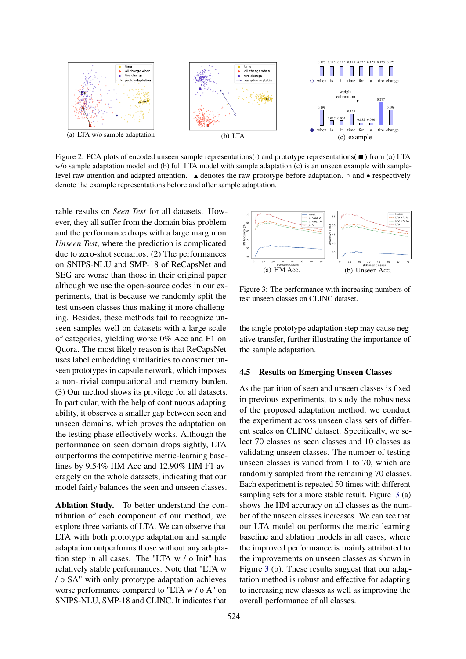<span id="page-7-1"></span>

Figure 2: PCA plots of encoded unseen sample representations( $\cdot$ ) and prototype representations( $\blacksquare$ ) from (a) LTA w/o sample adaptation model and (b) full LTA model with sample adaptation (c) is an unseen example with samplelevel raw attention and adapted attention.  $\triangle$  denotes the raw prototype before adaptation. ◦ and • respectively denote the example representations before and after sample adaptation.

rable results on *Seen Test* for all datasets. However, they all suffer from the domain bias problem and the performance drops with a large margin on *Unseen Test*, where the prediction is complicated due to zero-shot scenarios. (2) The performances on SNIPS-NLU and SMP-18 of ReCapsNet and SEG are worse than those in their original paper although we use the open-source codes in our experiments, that is because we randomly split the test unseen classes thus making it more challenging. Besides, these methods fail to recognize unseen samples well on datasets with a large scale of categories, yielding worse 0% Acc and F1 on Quora. The most likely reason is that ReCapsNet uses label embedding similarities to construct unseen prototypes in capsule network, which imposes a non-trivial computational and memory burden. (3) Our method shows its privilege for all datasets. In particular, with the help of continuous adapting ability, it observes a smaller gap between seen and unseen domains, which proves the adaptation on the testing phase effectively works. Although the performance on seen domain drops sightly, LTA outperforms the competitive metric-learning baselines by 9.54% HM Acc and 12.90% HM F1 averagely on the whole datasets, indicating that our model fairly balances the seen and unseen classes.

Ablation Study. To better understand the contribution of each component of our method, we explore three variants of LTA. We can observe that LTA with both prototype adaptation and sample adaptation outperforms those without any adaptation step in all cases. The "LTA w / o Init" has relatively stable performances. Note that "LTA w / o SA" with only prototype adaptation achieves worse performance compared to "LTA w / o A" on SNIPS-NLU, SMP-18 and CLINC. It indicates that

<span id="page-7-0"></span>

Figure 3: The performance with increasing numbers of test unseen classes on CLINC dataset.

the single prototype adaptation step may cause negative transfer, further illustrating the importance of the sample adaptation.

### 4.5 Results on Emerging Unseen Classes

As the partition of seen and unseen classes is fixed in previous experiments, to study the robustness of the proposed adaptation method, we conduct the experiment across unseen class sets of different scales on CLINC dataset. Specifically, we select 70 classes as seen classes and 10 classes as validating unseen classes. The number of testing unseen classes is varied from 1 to 70, which are randomly sampled from the remaining 70 classes. Each experiment is repeated 50 times with different sampling sets for a more stable result. Figure [3](#page-7-0) (a) shows the HM accuracy on all classes as the number of the unseen classes increases. We can see that our LTA model outperforms the metric learning baseline and ablation models in all cases, where the improved performance is mainly attributed to the improvements on unseen classes as shown in Figure [3](#page-7-0) (b). These results suggest that our adaptation method is robust and effective for adapting to increasing new classes as well as improving the overall performance of all classes.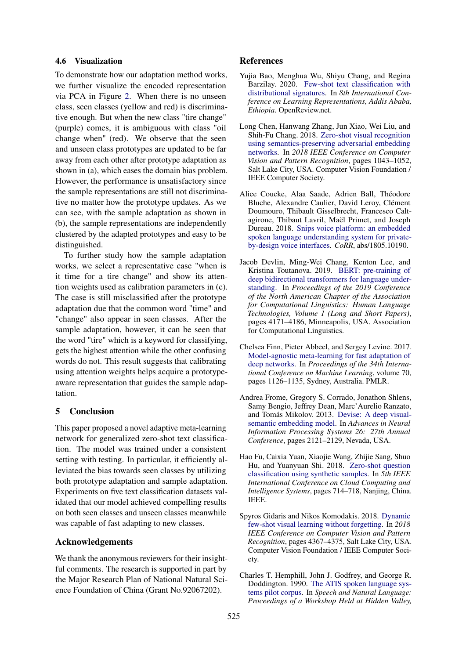### 4.6 Visualization

To demonstrate how our adaptation method works, we further visualize the encoded representation via PCA in Figure [2.](#page-7-1) When there is no unseen class, seen classes (yellow and red) is discriminative enough. But when the new class "tire change" (purple) comes, it is ambiguous with class "oil change when" (red). We observe that the seen and unseen class prototypes are updated to be far away from each other after prototype adaptation as shown in (a), which eases the domain bias problem. However, the performance is unsatisfactory since the sample representations are still not discriminative no matter how the prototype updates. As we can see, with the sample adaptation as shown in (b), the sample representations are independently clustered by the adapted prototypes and easy to be distinguished.

To further study how the sample adaptation works, we select a representative case "when is it time for a tire change" and show its attention weights used as calibration parameters in (c). The case is still misclassified after the prototype adaptation due that the common word "time" and "change" also appear in seen classes. After the sample adaptation, however, it can be seen that the word "tire" which is a keyword for classifying, gets the highest attention while the other confusing words do not. This result suggests that calibrating using attention weights helps acquire a prototypeaware representation that guides the sample adaptation.

# 5 Conclusion

This paper proposed a novel adaptive meta-learning network for generalized zero-shot text classification. The model was trained under a consistent setting with testing. In particular, it efficiently alleviated the bias towards seen classes by utilizing both prototype adaptation and sample adaptation. Experiments on five text classification datasets validated that our model achieved compelling results on both seen classes and unseen classes meanwhile was capable of fast adapting to new classes.

# Acknowledgements

We thank the anonymous reviewers for their insightful comments. The research is supported in part by the Major Research Plan of National Natural Science Foundation of China (Grant No.92067202).

### References

- <span id="page-8-5"></span>Yujia Bao, Menghua Wu, Shiyu Chang, and Regina Barzilay. 2020. [Few-shot text classification with](https://openreview.net/forum?id=H1emfT4twB) [distributional signatures.](https://openreview.net/forum?id=H1emfT4twB) In *8th International Conference on Learning Representations, Addis Ababa, Ethiopia*. OpenReview.net.
- <span id="page-8-1"></span>Long Chen, Hanwang Zhang, Jun Xiao, Wei Liu, and Shih-Fu Chang. 2018. [Zero-shot visual recognition](https://doi.org/10.1109/CVPR.2018.00115) [using semantics-preserving adversarial embedding](https://doi.org/10.1109/CVPR.2018.00115) [networks.](https://doi.org/10.1109/CVPR.2018.00115) In *2018 IEEE Conference on Computer Vision and Pattern Recognition*, pages 1043–1052, Salt Lake City, USA. Computer Vision Foundation / IEEE Computer Society.
- <span id="page-8-7"></span>Alice Coucke, Alaa Saade, Adrien Ball, Théodore Bluche, Alexandre Caulier, David Leroy, Clément Doumouro, Thibault Gisselbrecht, Francesco Caltagirone, Thibaut Lavril, Maël Primet, and Joseph Dureau. 2018. [Snips voice platform: an embedded](http://arxiv.org/abs/1805.10190) [spoken language understanding system for private](http://arxiv.org/abs/1805.10190)[by-design voice interfaces.](http://arxiv.org/abs/1805.10190) *CoRR*, abs/1805.10190.
- <span id="page-8-6"></span>Jacob Devlin, Ming-Wei Chang, Kenton Lee, and Kristina Toutanova. 2019. [BERT: pre-training of](https://doi.org/10.18653/v1/n19-1423) [deep bidirectional transformers for language under](https://doi.org/10.18653/v1/n19-1423)[standing.](https://doi.org/10.18653/v1/n19-1423) In *Proceedings of the 2019 Conference of the North American Chapter of the Association for Computational Linguistics: Human Language Technologies, Volume 1 (Long and Short Papers)*, pages 4171–4186, Minneapolis, USA. Association for Computational Linguistics.
- <span id="page-8-0"></span>Chelsea Finn, Pieter Abbeel, and Sergey Levine. 2017. [Model-agnostic meta-learning for fast adaptation of](http://proceedings.mlr.press/v70/finn17a.html) [deep networks.](http://proceedings.mlr.press/v70/finn17a.html) In *Proceedings of the 34th International Conference on Machine Learning*, volume 70, pages 1126–1135, Sydney, Australia. PMLR.
- <span id="page-8-3"></span>Andrea Frome, Gregory S. Corrado, Jonathon Shlens, Samy Bengio, Jeffrey Dean, Marc'Aurelio Ranzato, and Tomás Mikolov. 2013. [Devise: A deep visual](https://proceedings.neurips.cc/paper/2013/hash/7cce53cf90577442771720a370c3c723-Abstract.html)[semantic embedding model.](https://proceedings.neurips.cc/paper/2013/hash/7cce53cf90577442771720a370c3c723-Abstract.html) In *Advances in Neural Information Processing Systems 26: 27th Annual Conference*, pages 2121–2129, Nevada, USA.
- <span id="page-8-2"></span>Hao Fu, Caixia Yuan, Xiaojie Wang, Zhijie Sang, Shuo Hu, and Yuanyuan Shi. 2018. [Zero-shot question](https://doi.org/10.1109/CCIS.2018.8691209) [classification using synthetic samples.](https://doi.org/10.1109/CCIS.2018.8691209) In *5th IEEE International Conference on Cloud Computing and Intelligence Systems*, pages 714–718, Nanjing, China. IEEE.
- <span id="page-8-4"></span>Spyros Gidaris and Nikos Komodakis. 2018. [Dynamic](https://doi.org/10.1109/CVPR.2018.00459) [few-shot visual learning without forgetting.](https://doi.org/10.1109/CVPR.2018.00459) In *2018 IEEE Conference on Computer Vision and Pattern Recognition*, pages 4367–4375, Salt Lake City, USA. Computer Vision Foundation / IEEE Computer Society.
- <span id="page-8-8"></span>Charles T. Hemphill, John J. Godfrey, and George R. Doddington. 1990. [The ATIS spoken language sys](https://aclanthology.org/H90-1021/)[tems pilot corpus.](https://aclanthology.org/H90-1021/) In *Speech and Natural Language: Proceedings of a Workshop Held at Hidden Valley,*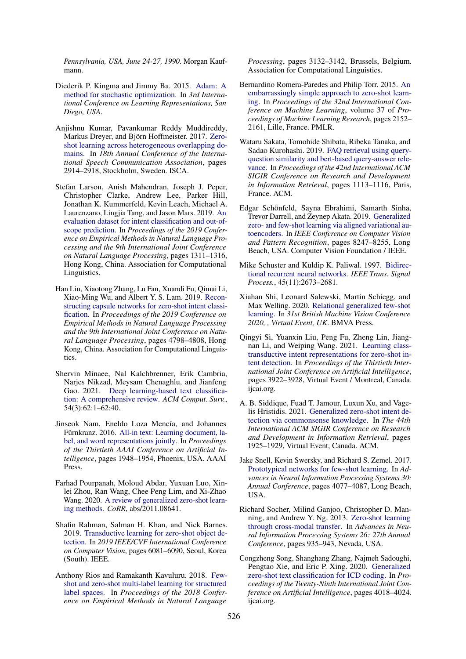*Pennsylvania, USA, June 24-27, 1990*. Morgan Kaufmann.

- <span id="page-9-18"></span>Diederik P. Kingma and Jimmy Ba. 2015. [Adam: A](http://arxiv.org/abs/1412.6980) [method for stochastic optimization.](http://arxiv.org/abs/1412.6980) In *3rd International Conference on Learning Representations, San Diego, USA*.
- <span id="page-9-17"></span>Anjishnu Kumar, Pavankumar Reddy Muddireddy, Markus Dreyer, and Björn Hoffmeister. 2017. [Zero](http://www.isca-speech.org/archive/Interspeech_2017/abstracts/0516.html)[shot learning across heterogeneous overlapping do](http://www.isca-speech.org/archive/Interspeech_2017/abstracts/0516.html)[mains.](http://www.isca-speech.org/archive/Interspeech_2017/abstracts/0516.html) In *18th Annual Conference of the International Speech Communication Association*, pages 2914–2918, Stockholm, Sweden. ISCA.
- <span id="page-9-13"></span>Stefan Larson, Anish Mahendran, Joseph J. Peper, Christopher Clarke, Andrew Lee, Parker Hill, Jonathan K. Kummerfeld, Kevin Leach, Michael A. Laurenzano, Lingjia Tang, and Jason Mars. 2019. [An](https://doi.org/10.18653/v1/D19-1131) [evaluation dataset for intent classification and out-of](https://doi.org/10.18653/v1/D19-1131)[scope prediction.](https://doi.org/10.18653/v1/D19-1131) In *Proceedings of the 2019 Conference on Empirical Methods in Natural Language Processing and the 9th International Joint Conference on Natural Language Processing*, pages 1311–1316, Hong Kong, China. Association for Computational Linguistics.
- <span id="page-9-5"></span>Han Liu, Xiaotong Zhang, Lu Fan, Xuandi Fu, Qimai Li, Xiao-Ming Wu, and Albert Y. S. Lam. 2019. [Recon](https://doi.org/10.18653/v1/D19-1486)[structing capsule networks for zero-shot intent classi](https://doi.org/10.18653/v1/D19-1486)[fication.](https://doi.org/10.18653/v1/D19-1486) In *Proceedings of the 2019 Conference on Empirical Methods in Natural Language Processing and the 9th International Joint Conference on Natural Language Processing*, pages 4798–4808, Hong Kong, China. Association for Computational Linguistics.
- <span id="page-9-0"></span>Shervin Minaee, Nal Kalchbrenner, Erik Cambria, Narjes Nikzad, Meysam Chenaghlu, and Jianfeng Gao. 2021. [Deep learning-based text classifica](https://doi.org/10.1145/3439726)[tion: A comprehensive review.](https://doi.org/10.1145/3439726) *ACM Comput. Surv.*, 54(3):62:1–62:40.
- <span id="page-9-8"></span>Jinseok Nam, Eneldo Loza Mencía, and Johannes Fürnkranz. 2016. [All-in text: Learning document, la](http://www.aaai.org/ocs/index.php/AAAI/AAAI16/paper/view/12058)[bel, and word representations jointly.](http://www.aaai.org/ocs/index.php/AAAI/AAAI16/paper/view/12058) In *Proceedings of the Thirtieth AAAI Conference on Artificial Intelligence*, pages 1948–1954, Phoenix, USA. AAAI Press.
- <span id="page-9-1"></span>Farhad Pourpanah, Moloud Abdar, Yuxuan Luo, Xinlei Zhou, Ran Wang, Chee Peng Lim, and Xi-Zhao Wang. 2020. [A review of generalized zero-shot learn](http://arxiv.org/abs/2011.08641)[ing methods.](http://arxiv.org/abs/2011.08641) *CoRR*, abs/2011.08641.
- <span id="page-9-11"></span>Shafin Rahman, Salman H. Khan, and Nick Barnes. 2019. [Transductive learning for zero-shot object de](https://doi.org/10.1109/ICCV.2019.00618)[tection.](https://doi.org/10.1109/ICCV.2019.00618) In *2019 IEEE/CVF International Conference on Computer Vision*, pages 6081–6090, Seoul, Korea (South). IEEE.
- <span id="page-9-3"></span>Anthony Rios and Ramakanth Kavuluru. 2018. [Few](https://doi.org/10.18653/v1/d18-1352)[shot and zero-shot multi-label learning for structured](https://doi.org/10.18653/v1/d18-1352) [label spaces.](https://doi.org/10.18653/v1/d18-1352) In *Proceedings of the 2018 Conference on Empirical Methods in Natural Language*

*Processing*, pages 3132–3142, Brussels, Belgium. Association for Computational Linguistics.

- <span id="page-9-2"></span>Bernardino Romera-Paredes and Philip Torr. 2015. [An](http://proceedings.mlr.press/v37/romera-paredes15.html) [embarrassingly simple approach to zero-shot learn](http://proceedings.mlr.press/v37/romera-paredes15.html)[ing.](http://proceedings.mlr.press/v37/romera-paredes15.html) In *Proceedings of the 32nd International Conference on Machine Learning*, volume 37 of *Proceedings of Machine Learning Research*, pages 2152– 2161, Lille, France. PMLR.
- <span id="page-9-14"></span>Wataru Sakata, Tomohide Shibata, Ribeka Tanaka, and Sadao Kurohashi. 2019. [FAQ retrieval using query](https://doi.org/10.1145/3331184.3331326)[question similarity and bert-based query-answer rele](https://doi.org/10.1145/3331184.3331326)[vance.](https://doi.org/10.1145/3331184.3331326) In *Proceedings of the 42nd International ACM SIGIR Conference on Research and Development in Information Retrieval*, pages 1113–1116, Paris, France. ACM.
- <span id="page-9-10"></span>Edgar Schönfeld, Sayna Ebrahimi, Samarth Sinha, Trevor Darrell, and Zeynep Akata. 2019. [Generalized](https://doi.org/10.1109/CVPR.2019.00844) [zero- and few-shot learning via aligned variational au](https://doi.org/10.1109/CVPR.2019.00844)[toencoders.](https://doi.org/10.1109/CVPR.2019.00844) In *IEEE Conference on Computer Vision and Pattern Recognition*, pages 8247–8255, Long Beach, USA. Computer Vision Foundation / IEEE.
- <span id="page-9-16"></span>Mike Schuster and Kuldip K. Paliwal. 1997. [Bidirec](https://doi.org/10.1109/78.650093)[tional recurrent neural networks.](https://doi.org/10.1109/78.650093) *IEEE Trans. Signal Process.*, 45(11):2673–2681.
- <span id="page-9-12"></span>Xiahan Shi, Leonard Salewski, Martin Schiegg, and Max Welling. 2020. [Relational generalized few-shot](https://www.bmvc2020-conference.com/assets/papers/0220.pdf) [learning.](https://www.bmvc2020-conference.com/assets/papers/0220.pdf) In *31st British Machine Vision Conference 2020, , Virtual Event, UK*. BMVA Press.
- <span id="page-9-9"></span>Qingyi Si, Yuanxin Liu, Peng Fu, Zheng Lin, Jiangnan Li, and Weiping Wang. 2021. [Learning class](https://doi.org/10.24963/ijcai.2021/540)[transductive intent representations for zero-shot in](https://doi.org/10.24963/ijcai.2021/540)[tent detection.](https://doi.org/10.24963/ijcai.2021/540) In *Proceedings of the Thirtieth International Joint Conference on Artificial Intelligence*, pages 3922–3928, Virtual Event / Montreal, Canada. ijcai.org.
- <span id="page-9-15"></span>A. B. Siddique, Fuad T. Jamour, Luxun Xu, and Vagelis Hristidis. 2021. [Generalized zero-shot intent de](https://doi.org/10.1145/3404835.3462985)[tection via commonsense knowledge.](https://doi.org/10.1145/3404835.3462985) In *The 44th International ACM SIGIR Conference on Research and Development in Information Retrieval*, pages 1925–1929, Virtual Event, Canada. ACM.
- <span id="page-9-6"></span>Jake Snell, Kevin Swersky, and Richard S. Zemel. 2017. [Prototypical networks for few-shot learning.](https://proceedings.neurips.cc/paper/2017/hash/cb8da6767461f2812ae4290eac7cbc42-Abstract.html) In *Advances in Neural Information Processing Systems 30: Annual Conference*, pages 4077–4087, Long Beach, USA.
- <span id="page-9-7"></span>Richard Socher, Milind Ganjoo, Christopher D. Manning, and Andrew Y. Ng. 2013. [Zero-shot learning](https://proceedings.neurips.cc/paper/2013/hash/2d6cc4b2d139a53512fb8cbb3086ae2e-Abstract.html) [through cross-modal transfer.](https://proceedings.neurips.cc/paper/2013/hash/2d6cc4b2d139a53512fb8cbb3086ae2e-Abstract.html) In *Advances in Neural Information Processing Systems 26: 27th Annual Conference*, pages 935–943, Nevada, USA.
- <span id="page-9-4"></span>Congzheng Song, Shanghang Zhang, Najmeh Sadoughi, Pengtao Xie, and Eric P. Xing. 2020. [Generalized](https://doi.org/10.24963/ijcai.2020/556) [zero-shot text classification for ICD coding.](https://doi.org/10.24963/ijcai.2020/556) In *Proceedings of the Twenty-Ninth International Joint Conference on Artificial Intelligence*, pages 4018–4024. ijcai.org.